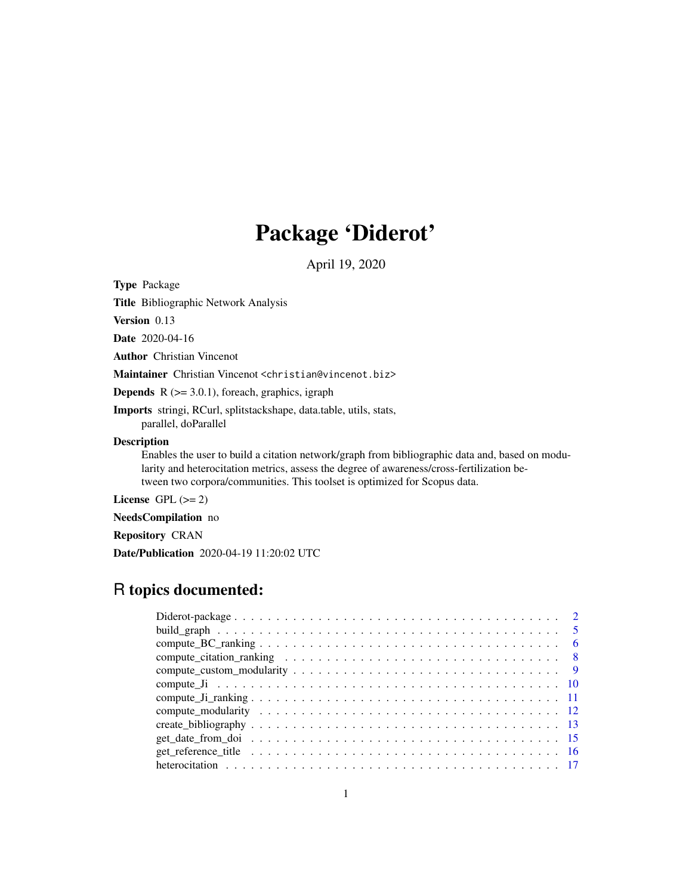# Package 'Diderot'

April 19, 2020

<span id="page-0-0"></span>Type Package

Title Bibliographic Network Analysis

Version 0.13

Date 2020-04-16

Author Christian Vincenot

Maintainer Christian Vincenot <christian@vincenot.biz>

**Depends**  $R$  ( $>= 3.0.1$ ), foreach, graphics, igraph

Imports stringi, RCurl, splitstackshape, data.table, utils, stats, parallel, doParallel

# Description

Enables the user to build a citation network/graph from bibliographic data and, based on modularity and heterocitation metrics, assess the degree of awareness/cross-fertilization between two corpora/communities. This toolset is optimized for Scopus data.

License GPL  $(>= 2)$ 

NeedsCompilation no

Repository CRAN

Date/Publication 2020-04-19 11:20:02 UTC

# R topics documented: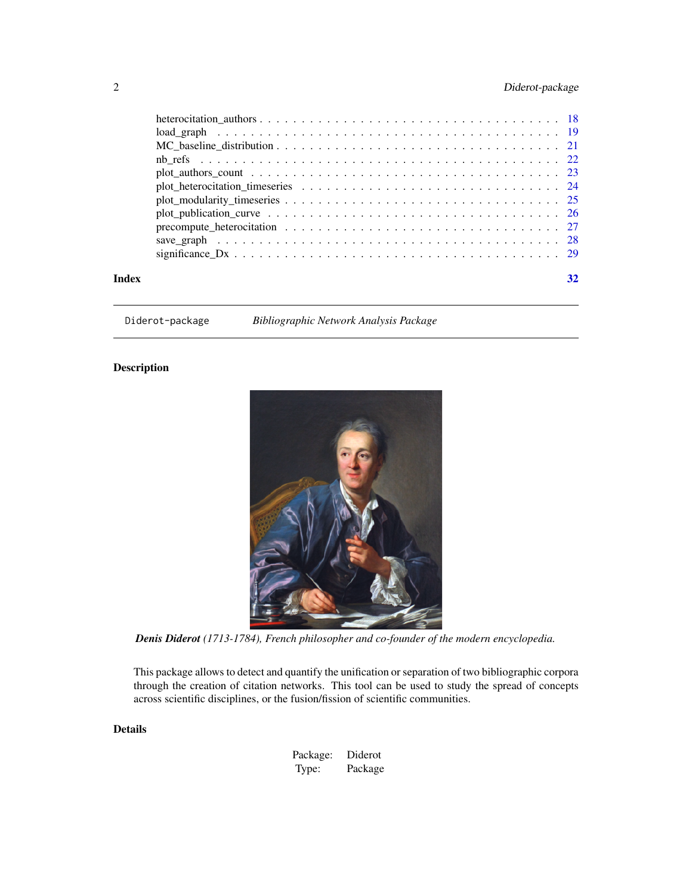# <span id="page-1-0"></span>2 Diderot-package

| Index | 32 |
|-------|----|

Diderot-package *Bibliographic Network Analysis Package*

# Description



*Denis Diderot (1713-1784), French philosopher and co-founder of the modern encyclopedia.*

This package allows to detect and quantify the unification or separation of two bibliographic corpora through the creation of citation networks. This tool can be used to study the spread of concepts across scientific disciplines, or the fusion/fission of scientific communities.

# Details

| Package: | Diderot |
|----------|---------|
| Type:    | Package |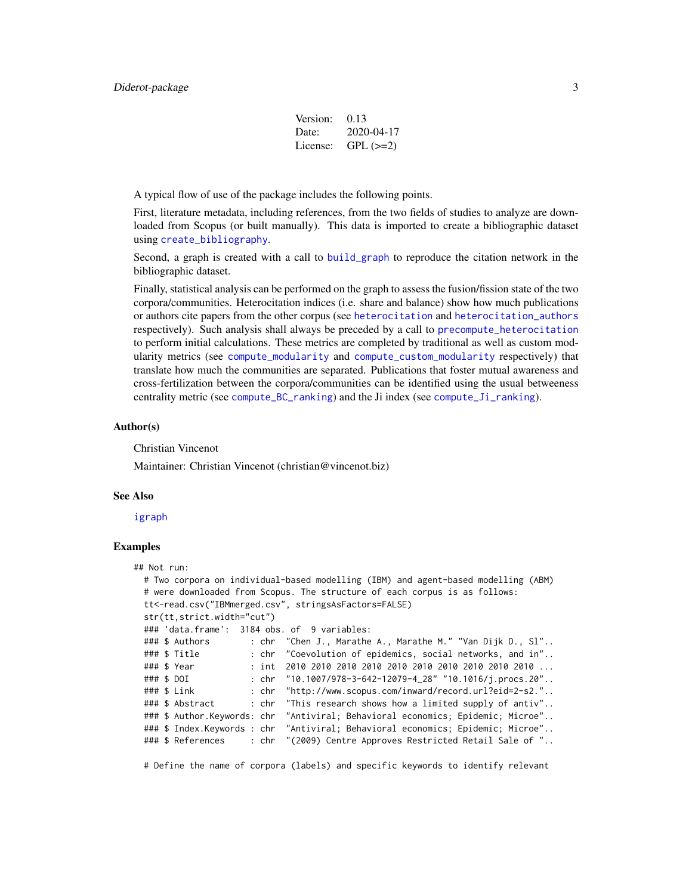| Version: | 0.13       |
|----------|------------|
| Date:    | 2020-04-17 |
| License: | $GPL (=2)$ |

<span id="page-2-0"></span>A typical flow of use of the package includes the following points.

First, literature metadata, including references, from the two fields of studies to analyze are downloaded from Scopus (or built manually). This data is imported to create a bibliographic dataset using [create\\_bibliography](#page-12-1).

Second, a graph is created with a call to [build\\_graph](#page-4-1) to reproduce the citation network in the bibliographic dataset.

Finally, statistical analysis can be performed on the graph to assess the fusion/fission state of the two corpora/communities. Heterocitation indices (i.e. share and balance) show how much publications or authors cite papers from the other corpus (see [heterocitation](#page-16-1) and [heterocitation\\_authors](#page-17-1) respectively). Such analysis shall always be preceded by a call to [precompute\\_heterocitation](#page-26-1) to perform initial calculations. These metrics are completed by traditional as well as custom modularity metrics (see [compute\\_modularity](#page-11-1) and [compute\\_custom\\_modularity](#page-8-1) respectively) that translate how much the communities are separated. Publications that foster mutual awareness and cross-fertilization between the corpora/communities can be identified using the usual betweeness centrality metric (see [compute\\_BC\\_ranking](#page-5-1)) and the Ji index (see [compute\\_Ji\\_ranking](#page-10-1)).

#### Author(s)

Christian Vincenot

Maintainer: Christian Vincenot (christian@vincenot.biz)

#### See Also

[igraph](#page-0-0)

#### Examples

```
## Not run:
 # Two corpora on individual-based modelling (IBM) and agent-based modelling (ABM)
 # were downloaded from Scopus. The structure of each corpus is as follows:
 tt<-read.csv("IBMmerged.csv", stringsAsFactors=FALSE)
 str(tt,strict.width="cut")
 ### 'data.frame': 3184 obs. of 9 variables:
 ### $ Authors : chr "Chen J., Marathe A., Marathe M." "Van Dijk D., Sl"..
 ### $ Title : chr "Coevolution of epidemics, social networks, and in"..
 ### $ Year : int 2010 2010 2010 2010 2010 2010 2010 2010 2010 2010 ...
 ### $ DOI : chr "10.1007/978-3-642-12079-4_28" "10.1016/j.procs.20"..
 ### $ Link : chr "http://www.scopus.com/inward/record.url?eid=2-s2."..
 ### $ Abstract : chr "This research shows how a limited supply of antiv"..
 ### $ Author.Keywords: chr "Antiviral; Behavioral economics; Epidemic; Microe"..
 ### $ Index.Keywords : chr "Antiviral; Behavioral economics; Epidemic; Microe"..
 ### $ References : chr "(2009) Centre Approves Restricted Retail Sale of "..
```
# Define the name of corpora (labels) and specific keywords to identify relevant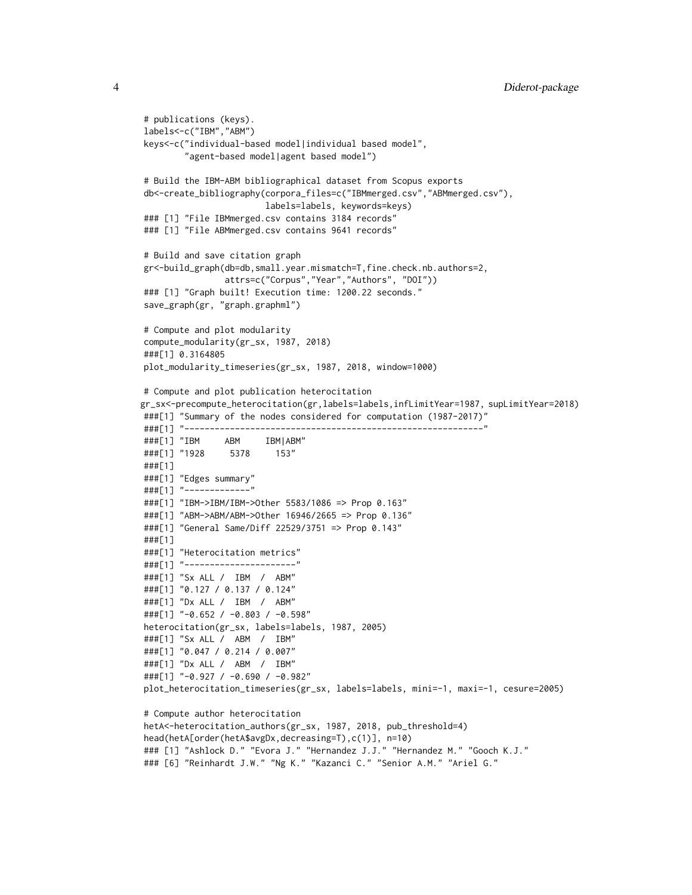```
# publications (keys).
labels<-c("IBM","ABM")
keys<-c("individual-based model|individual based model",
        "agent-based model|agent based model")
# Build the IBM-ABM bibliographical dataset from Scopus exports
db<-create_bibliography(corpora_files=c("IBMmerged.csv","ABMmerged.csv"),
                        labels=labels, keywords=keys)
### [1] "File IBMmerged.csv contains 3184 records"
### [1] "File ABMmerged.csv contains 9641 records"
# Build and save citation graph
gr<-build_graph(db=db,small.year.mismatch=T,fine.check.nb.authors=2,
                attrs=c("Corpus","Year","Authors", "DOI"))
### [1] "Graph built! Execution time: 1200.22 seconds."
save_graph(gr, "graph.graphml")
# Compute and plot modularity
compute_modularity(gr_sx, 1987, 2018)
###[1] 0.3164805
plot_modularity_timeseries(gr_sx, 1987, 2018, window=1000)
# Compute and plot publication heterocitation
gr_sx<-precompute_heterocitation(gr,labels=labels,infLimitYear=1987, supLimitYear=2018)
###[1] "Summary of the nodes considered for computation (1987-2017)"
###[1] "-----------------------------------------------------------"
###[1] "IBM ABM IBM|ABM"
###[1] "1928 5378 153"
###[1]
###[1] "Edges summary"
###[1] "-------------"
###[1] "IBM->IBM/IBM->Other 5583/1086 => Prop 0.163"
###[1] "ABM->ABM/ABM->Other 16946/2665 => Prop 0.136"
###[1] "General Same/Diff 22529/3751 => Prop 0.143"
###[1]
###[1] "Heterocitation metrics"
###[1] "----------------------"
###[1] "Sx ALL / IBM / ABM"
###[1] "0.127 / 0.137 / 0.124"
###[1] "Dx ALL / IBM / ABM"
###[1] "-0.652 / -0.803 / -0.598"
heterocitation(gr_sx, labels=labels, 1987, 2005)
###[1] "Sx ALL / ABM / IBM"
###[1] "0.047 / 0.214 / 0.007"
###[1] "Dx ALL / ABM / IBM"
###[1] "-0.927 / -0.690 / -0.982"
plot_heterocitation_timeseries(gr_sx, labels=labels, mini=-1, maxi=-1, cesure=2005)
# Compute author heterocitation
hetA<-heterocitation_authors(gr_sx, 1987, 2018, pub_threshold=4)
head(hetA[order(hetA$avgDx,decreasing=T),c(1)], n=10)
### [1] "Ashlock D." "Evora J." "Hernandez J.J." "Hernandez M." "Gooch K.J."
### [6] "Reinhardt J.W." "Ng K." "Kazanci C." "Senior A.M." "Ariel G."
```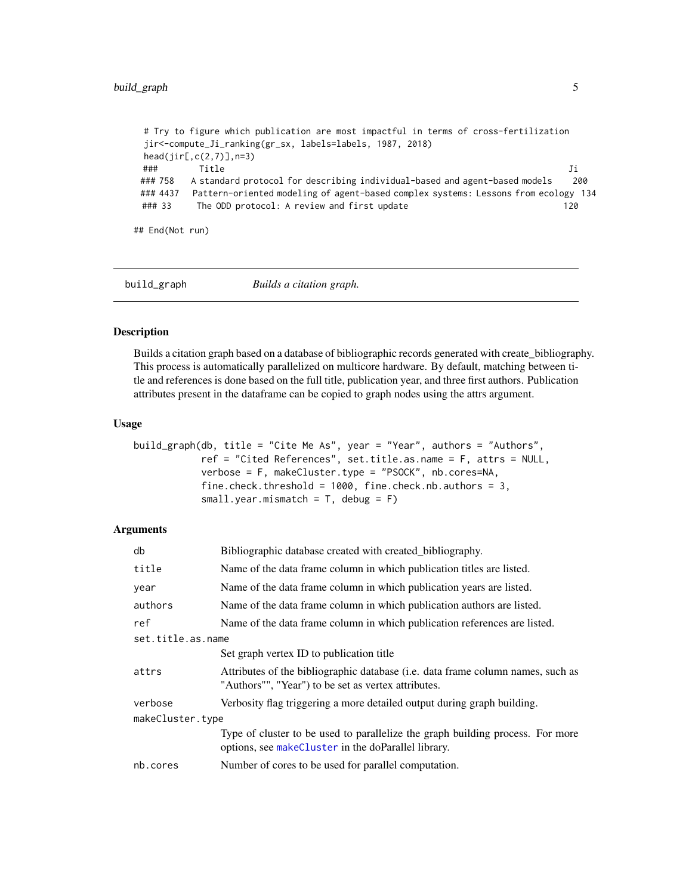```
# Try to figure which publication are most impactful in terms of cross-fertilization
jir<-compute_Ji_ranking(gr_sx, labels=labels, 1987, 2018)
head(jir[,c(2,7)],n=3)
### Title Ji
### 758 A standard protocol for describing individual-based and agent-based models 200
### 4437 Pattern-oriented modeling of agent-based complex systems: Lessons from ecology 134
### 33 The ODD protocol: A review and first update 120
```
## End(Not run)

<span id="page-4-1"></span>

build\_graph *Builds a citation graph.*

#### Description

Builds a citation graph based on a database of bibliographic records generated with create\_bibliography. This process is automatically parallelized on multicore hardware. By default, matching between title and references is done based on the full title, publication year, and three first authors. Publication attributes present in the dataframe can be copied to graph nodes using the attrs argument.

#### Usage

```
build_graph(db, title = "Cite Me As", year = "Year", authors = "Authors",
           ref = "Cited References", set.title.as.name = F, attrs = NULL,
           verbose = F, makeCluster.type = "PSOCK", nb.cores=NA,
           fine.check.threshold = 1000, fine.check.nb.authors = 3,
           small.year.mismatch = T, debug = F)
```

| Bibliographic database created with created bibliography.                                                                              |  |  |
|----------------------------------------------------------------------------------------------------------------------------------------|--|--|
| Name of the data frame column in which publication titles are listed.                                                                  |  |  |
| Name of the data frame column in which publication years are listed.                                                                   |  |  |
| Name of the data frame column in which publication authors are listed.                                                                 |  |  |
| Name of the data frame column in which publication references are listed.                                                              |  |  |
| set.title.as.name                                                                                                                      |  |  |
| Set graph vertex ID to publication title                                                                                               |  |  |
| Attributes of the bibliographic database (i.e. data frame column names, such as<br>"Authors"", "Year") to be set as vertex attributes. |  |  |
| Verbosity flag triggering a more detailed output during graph building.                                                                |  |  |
| makeCluster.type                                                                                                                       |  |  |
| Type of cluster to be used to parallelize the graph building process. For more<br>options, see makeCluster in the doParallel library.  |  |  |
| Number of cores to be used for parallel computation.                                                                                   |  |  |
|                                                                                                                                        |  |  |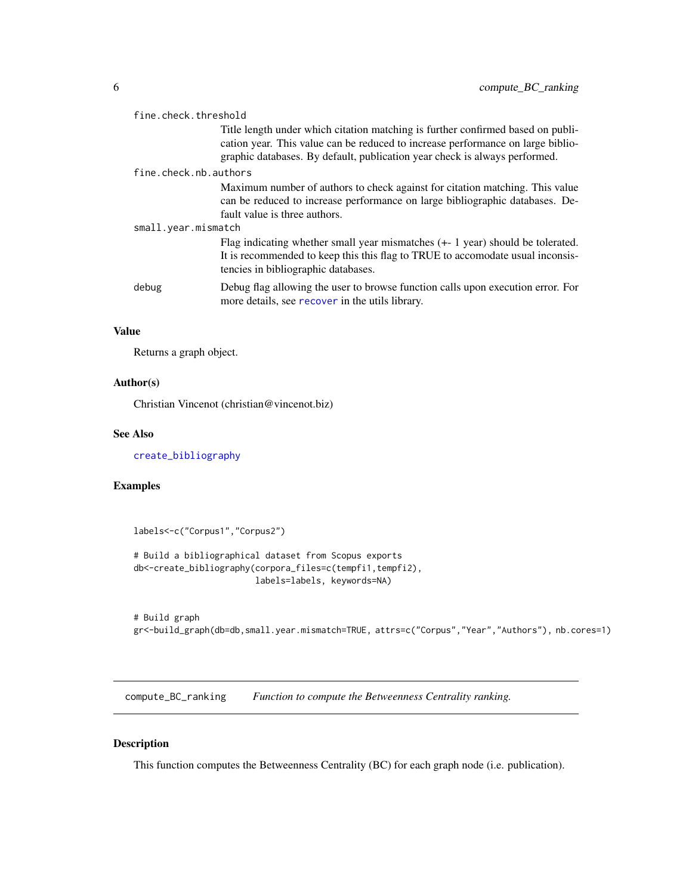<span id="page-5-0"></span>

| fine.check.threshold  |                                                                                                                                                                                                                                                  |  |
|-----------------------|--------------------------------------------------------------------------------------------------------------------------------------------------------------------------------------------------------------------------------------------------|--|
|                       | Title length under which citation matching is further confirmed based on publi-<br>cation year. This value can be reduced to increase performance on large biblio-<br>graphic databases. By default, publication year check is always performed. |  |
| fine.check.nb.authors |                                                                                                                                                                                                                                                  |  |
|                       | Maximum number of authors to check against for citation matching. This value<br>can be reduced to increase performance on large bibliographic databases. De-<br>fault value is three authors.                                                    |  |
| small.year.mismatch   |                                                                                                                                                                                                                                                  |  |
|                       | Flag indicating whether small year mismatches $(+1$ year) should be tolerated.<br>It is recommended to keep this this flag to TRUE to accomodate usual inconsis-<br>tencies in bibliographic databases.                                          |  |
| debug                 | Debug flag allowing the user to browse function calls upon execution error. For<br>more details, see recover in the utils library.                                                                                                               |  |

# Value

Returns a graph object.

# Author(s)

Christian Vincenot (christian@vincenot.biz)

#### See Also

[create\\_bibliography](#page-12-1)

# Examples

labels<-c("Corpus1","Corpus2") # Build a bibliographical dataset from Scopus exports db<-create\_bibliography(corpora\_files=c(tempfi1,tempfi2), labels=labels, keywords=NA)

```
# Build graph
gr<-build_graph(db=db,small.year.mismatch=TRUE, attrs=c("Corpus","Year","Authors"), nb.cores=1)
```
<span id="page-5-1"></span>compute\_BC\_ranking *Function to compute the Betweenness Centrality ranking.*

# Description

This function computes the Betweenness Centrality (BC) for each graph node (i.e. publication).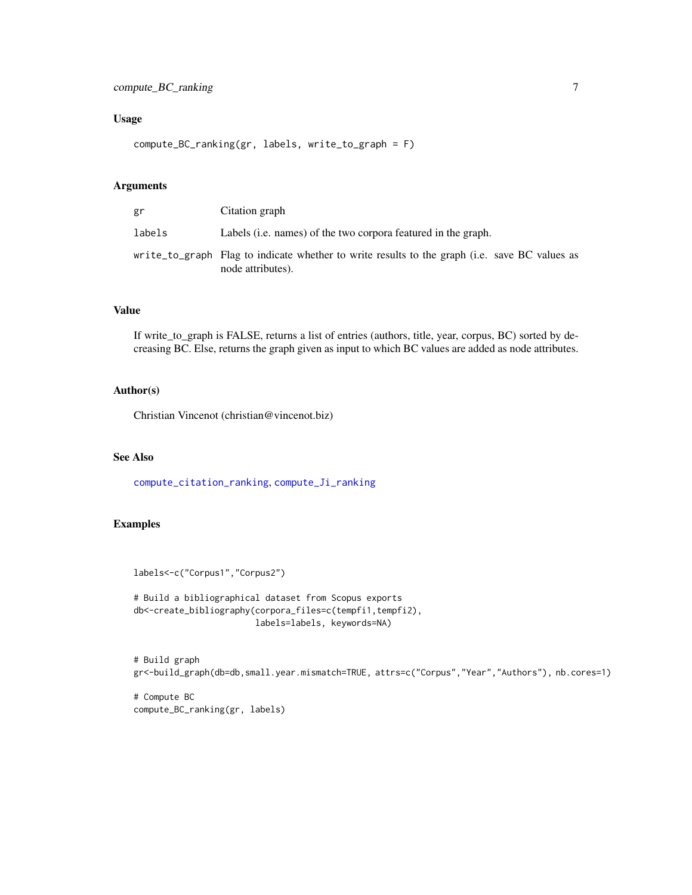# <span id="page-6-0"></span>Usage

compute\_BC\_ranking(gr, labels, write\_to\_graph = F)

# Arguments

| gr     | Citation graph                                                                                                     |
|--------|--------------------------------------------------------------------------------------------------------------------|
| labels | Labels (i.e. names) of the two corpora featured in the graph.                                                      |
|        | write to graph Flag to indicate whether to write results to the graph (i.e. save BC values as<br>node attributes). |

# Value

If write\_to\_graph is FALSE, returns a list of entries (authors, title, year, corpus, BC) sorted by decreasing BC. Else, returns the graph given as input to which BC values are added as node attributes.

# Author(s)

Christian Vincenot (christian@vincenot.biz)

# See Also

[compute\\_citation\\_ranking](#page-7-1), [compute\\_Ji\\_ranking](#page-10-1)

# Examples

```
labels<-c("Corpus1","Corpus2")
```

```
# Build a bibliographical dataset from Scopus exports
db<-create_bibliography(corpora_files=c(tempfi1,tempfi2),
                       labels=labels, keywords=NA)
```

```
# Build graph
gr<-build_graph(db=db,small.year.mismatch=TRUE, attrs=c("Corpus","Year","Authors"), nb.cores=1)
```
# Compute BC compute\_BC\_ranking(gr, labels)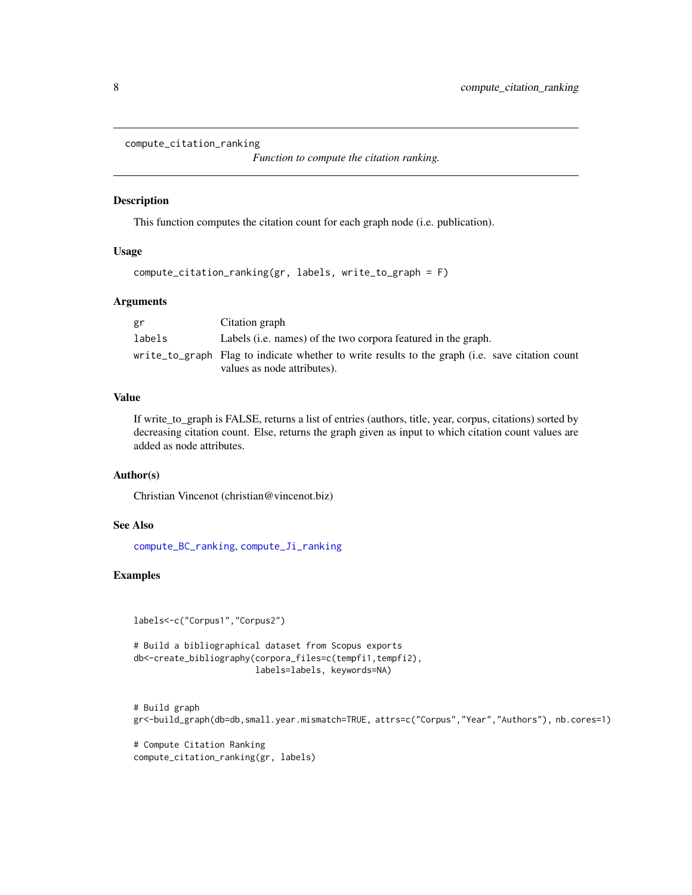```
compute_citation_ranking
```
*Function to compute the citation ranking.*

#### Description

This function computes the citation count for each graph node (i.e. publication).

#### Usage

```
compute_citation_ranking(gr, labels, write_to_graph = F)
```
#### Arguments

| gr     | Citation graph                                                                                  |
|--------|-------------------------------------------------------------------------------------------------|
| labels | Labels (i.e. names) of the two corpora featured in the graph.                                   |
|        | write_to_graph Flag to indicate whether to write results to the graph (i.e. save citation count |
|        | values as node attributes).                                                                     |

# Value

If write\_to\_graph is FALSE, returns a list of entries (authors, title, year, corpus, citations) sorted by decreasing citation count. Else, returns the graph given as input to which citation count values are added as node attributes.

# Author(s)

Christian Vincenot (christian@vincenot.biz)

#### See Also

[compute\\_BC\\_ranking](#page-5-1), [compute\\_Ji\\_ranking](#page-10-1)

#### Examples

```
labels<-c("Corpus1","Corpus2")
```

```
# Build a bibliographical dataset from Scopus exports
db<-create_bibliography(corpora_files=c(tempfi1,tempfi2),
                        labels=labels, keywords=NA)
```

```
# Build graph
gr<-build_graph(db=db,small.year.mismatch=TRUE, attrs=c("Corpus","Year","Authors"), nb.cores=1)
```
# Compute Citation Ranking compute\_citation\_ranking(gr, labels)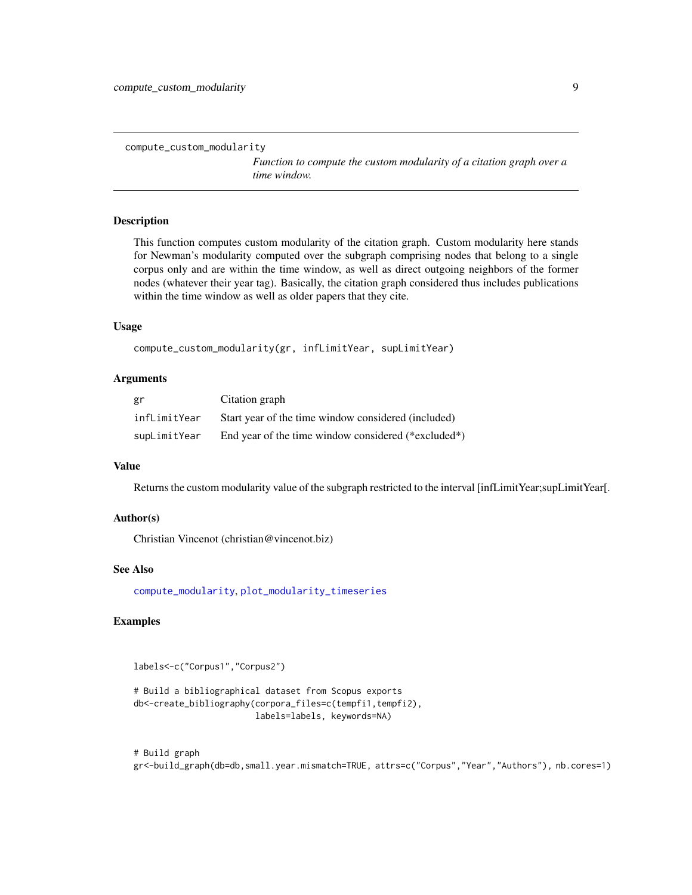```
compute_custom_modularity
```
*Function to compute the custom modularity of a citation graph over a time window.*

#### Description

This function computes custom modularity of the citation graph. Custom modularity here stands for Newman's modularity computed over the subgraph comprising nodes that belong to a single corpus only and are within the time window, as well as direct outgoing neighbors of the former nodes (whatever their year tag). Basically, the citation graph considered thus includes publications within the time window as well as older papers that they cite.

#### Usage

```
compute_custom_modularity(gr, infLimitYear, supLimitYear)
```
#### Arguments

| gr           | Citation graph                                      |
|--------------|-----------------------------------------------------|
| infLimitYear | Start year of the time window considered (included) |
| supLimitYear | End year of the time window considered (*excluded*) |

### Value

Returns the custom modularity value of the subgraph restricted to the interval [infLimitYear;supLimitYear[.

#### Author(s)

Christian Vincenot (christian@vincenot.biz)

#### See Also

[compute\\_modularity](#page-11-1), [plot\\_modularity\\_timeseries](#page-24-1)

# Examples

```
labels<-c("Corpus1","Corpus2")
```

```
# Build a bibliographical dataset from Scopus exports
db<-create_bibliography(corpora_files=c(tempfi1,tempfi2),
                        labels=labels, keywords=NA)
```
# Build graph gr<-build\_graph(db=db,small.year.mismatch=TRUE, attrs=c("Corpus","Year","Authors"), nb.cores=1)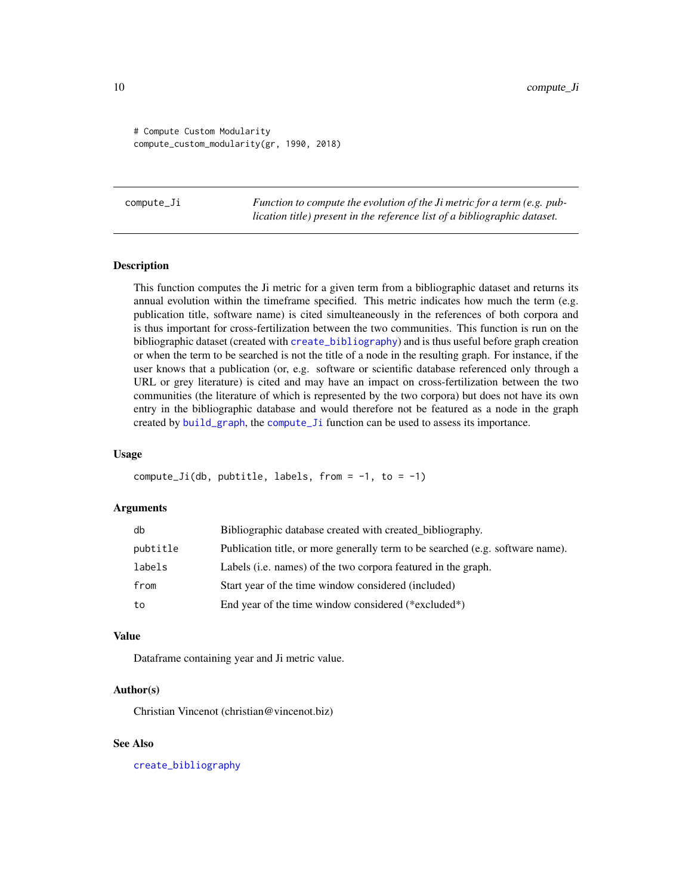<span id="page-9-0"></span># Compute Custom Modularity compute\_custom\_modularity(gr, 1990, 2018)

<span id="page-9-1"></span>compute\_Ji *Function to compute the evolution of the Ji metric for a term (e.g. publication title) present in the reference list of a bibliographic dataset.*

# **Description**

This function computes the Ji metric for a given term from a bibliographic dataset and returns its annual evolution within the timeframe specified. This metric indicates how much the term (e.g. publication title, software name) is cited simulteaneously in the references of both corpora and is thus important for cross-fertilization between the two communities. This function is run on the bibliographic dataset (created with [create\\_bibliography](#page-12-1)) and is thus useful before graph creation or when the term to be searched is not the title of a node in the resulting graph. For instance, if the user knows that a publication (or, e.g. software or scientific database referenced only through a URL or grey literature) is cited and may have an impact on cross-fertilization between the two communities (the literature of which is represented by the two corpora) but does not have its own entry in the bibliographic database and would therefore not be featured as a node in the graph created by [build\\_graph](#page-4-1), the [compute\\_Ji](#page-9-1) function can be used to assess its importance.

#### Usage

```
compute_Ji(db, pubtitle, labels, from = -1, to = -1)
```
#### Arguments

| db       | Bibliographic database created with created_bibliography.                      |
|----------|--------------------------------------------------------------------------------|
| pubtitle | Publication title, or more generally term to be searched (e.g. software name). |
| labels   | Labels ( <i>i.e.</i> names) of the two corpora featured in the graph.          |
| from     | Start year of the time window considered (included)                            |
| to       | End year of the time window considered $(*excluded*)$                          |

#### Value

Dataframe containing year and Ji metric value.

#### Author(s)

Christian Vincenot (christian@vincenot.biz)

#### See Also

[create\\_bibliography](#page-12-1)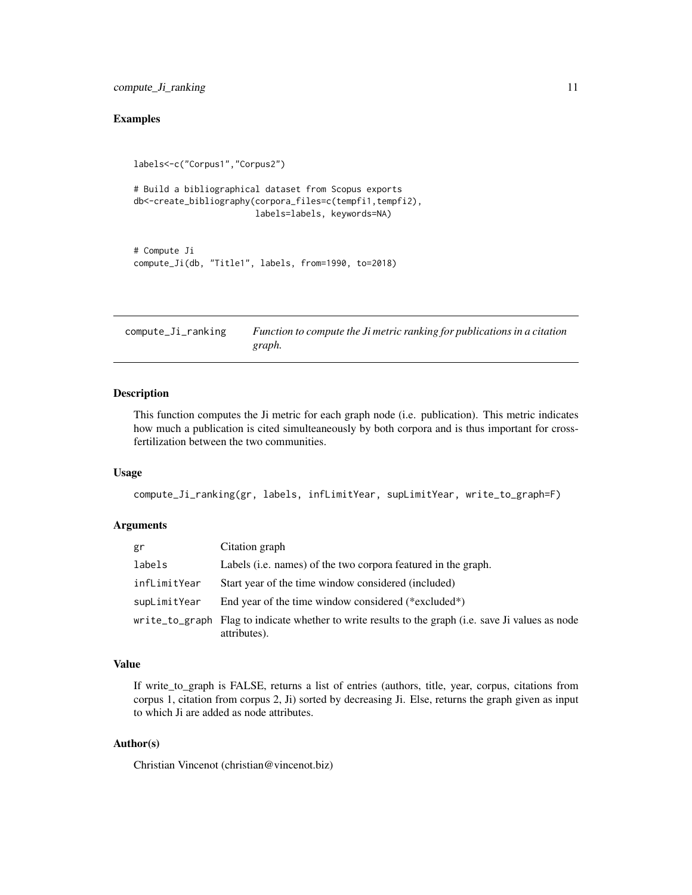# <span id="page-10-0"></span>Examples

```
labels<-c("Corpus1","Corpus2")
# Build a bibliographical dataset from Scopus exports
db<-create_bibliography(corpora_files=c(tempfi1,tempfi2),
                        labels=labels, keywords=NA)
# Compute Ji
```

```
compute_Ji(db, "Title1", labels, from=1990, to=2018)
```
<span id="page-10-1"></span>compute\_Ji\_ranking *Function to compute the Ji metric ranking for publications in a citation graph.*

#### Description

This function computes the Ji metric for each graph node (i.e. publication). This metric indicates how much a publication is cited simulteaneously by both corpora and is thus important for crossfertilization between the two communities.

# Usage

compute\_Ji\_ranking(gr, labels, infLimitYear, supLimitYear, write\_to\_graph=F)

#### Arguments

| gr           | Citation graph                                                                                                     |
|--------------|--------------------------------------------------------------------------------------------------------------------|
| labels       | Labels (i.e. names) of the two corpora featured in the graph.                                                      |
| infLimitYear | Start year of the time window considered (included)                                                                |
| supLimitYear | End year of the time window considered $(*excluded*)$                                                              |
|              | write_to_graph Flag to indicate whether to write results to the graph (i.e. save Ji values as node<br>attributes). |

# Value

If write\_to\_graph is FALSE, returns a list of entries (authors, title, year, corpus, citations from corpus 1, citation from corpus 2, Ji) sorted by decreasing Ji. Else, returns the graph given as input to which Ji are added as node attributes.

### Author(s)

Christian Vincenot (christian@vincenot.biz)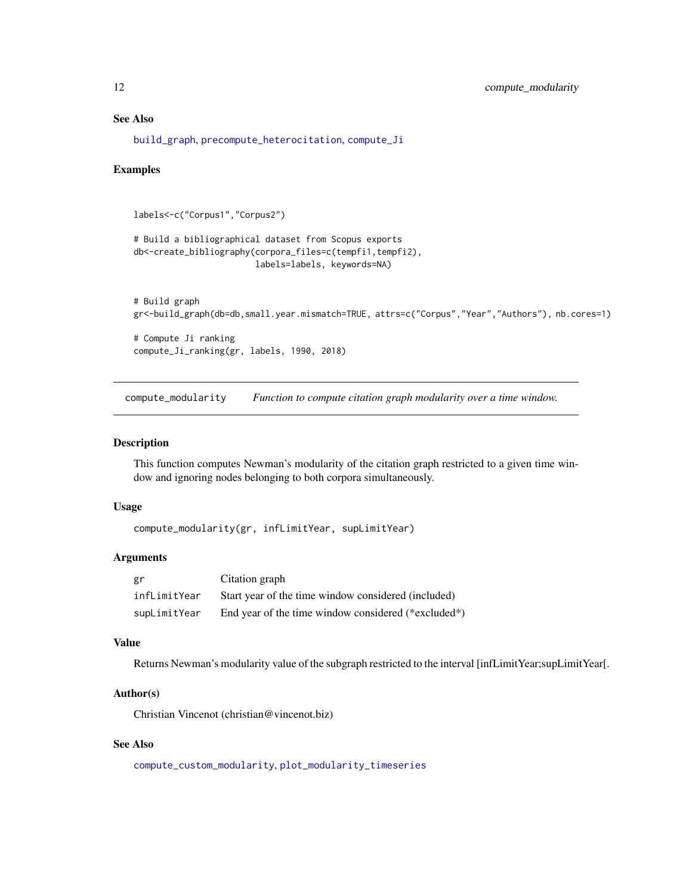# See Also

[build\\_graph](#page-4-1), [precompute\\_heterocitation](#page-26-1), [compute\\_Ji](#page-9-1)

#### Examples

```
labels<-c("Corpus1","Corpus2")
# Build a bibliographical dataset from Scopus exports
db<-create_bibliography(corpora_files=c(tempfi1,tempfi2),
                        labels=labels, keywords=NA)
# Build graph
gr<-build_graph(db=db,small.year.mismatch=TRUE, attrs=c("Corpus","Year","Authors"), nb.cores=1)
# Compute Ji ranking
compute_Ji_ranking(gr, labels, 1990, 2018)
```
<span id="page-11-1"></span>compute\_modularity *Function to compute citation graph modularity over a time window.*

#### Description

This function computes Newman's modularity of the citation graph restricted to a given time window and ignoring nodes belonging to both corpora simultaneously.

#### Usage

```
compute_modularity(gr, infLimitYear, supLimitYear)
```
#### Arguments

| gr           | Citation graph                                      |
|--------------|-----------------------------------------------------|
| infLimitYear | Start year of the time window considered (included) |
| supLimitYear | End year of the time window considered (*excluded*) |

#### Value

Returns Newman's modularity value of the subgraph restricted to the interval [infLimitYear;supLimitYear[.

#### Author(s)

Christian Vincenot (christian@vincenot.biz)

# See Also

[compute\\_custom\\_modularity](#page-8-1), [plot\\_modularity\\_timeseries](#page-24-1)

<span id="page-11-0"></span>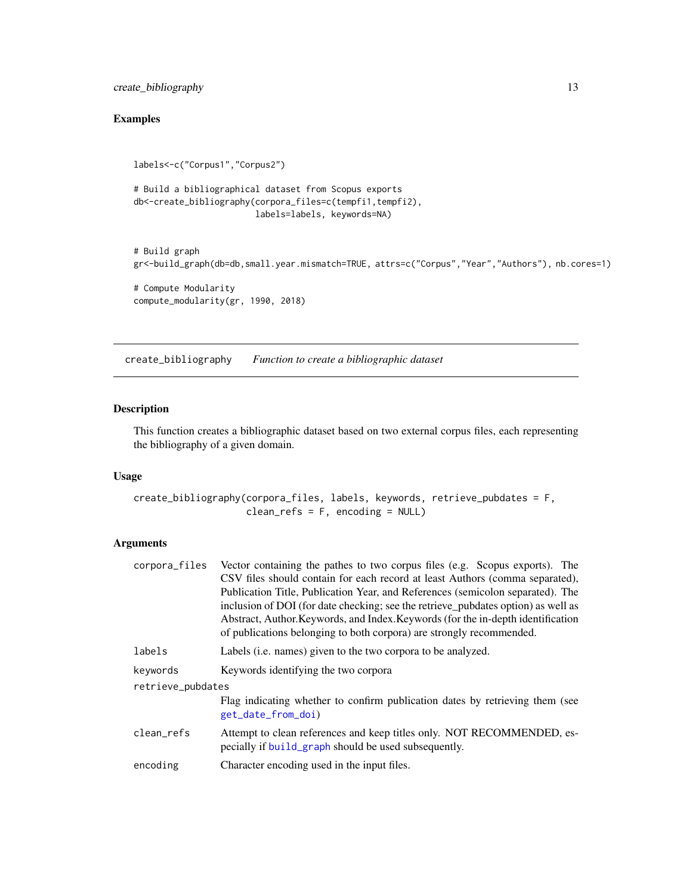<span id="page-12-0"></span>create\_bibliography 13

# Examples

```
labels<-c("Corpus1","Corpus2")
# Build a bibliographical dataset from Scopus exports
db<-create_bibliography(corpora_files=c(tempfi1,tempfi2),
                        labels=labels, keywords=NA)
# Build graph
gr<-build_graph(db=db,small.year.mismatch=TRUE, attrs=c("Corpus","Year","Authors"), nb.cores=1)
# Compute Modularity
compute_modularity(gr, 1990, 2018)
```
<span id="page-12-1"></span>create\_bibliography *Function to create a bibliographic dataset*

# Description

This function creates a bibliographic dataset based on two external corpus files, each representing the bibliography of a given domain.

#### Usage

```
create_bibliography(corpora_files, labels, keywords, retrieve_pubdates = F,
                    clean_refs = F, encoding = NULL)
```

| corpora_files     | Vector containing the pathes to two corpus files (e.g. Scopus exports). The                                                    |
|-------------------|--------------------------------------------------------------------------------------------------------------------------------|
|                   | CSV files should contain for each record at least Authors (comma separated),                                                   |
|                   | Publication Title, Publication Year, and References (semicolon separated). The                                                 |
|                   | inclusion of DOI (for date checking; see the retrieve pubdates option) as well as                                              |
|                   | Abstract, Author. Keywords, and Index. Keywords (for the in-depth identification                                               |
|                   | of publications belonging to both corpora) are strongly recommended.                                                           |
| labels            | Labels ( <i>i.e.</i> names) given to the two corpora to be analyzed.                                                           |
| keywords          | Keywords identifying the two corpora                                                                                           |
| retrieve_pubdates |                                                                                                                                |
|                   | Flag indicating whether to confirm publication dates by retrieving them (see<br>get_date_from_doi)                             |
| clean_refs        | Attempt to clean references and keep titles only. NOT RECOMMENDED, es-<br>pecially if build_graph should be used subsequently. |
| encoding          | Character encoding used in the input files.                                                                                    |
|                   |                                                                                                                                |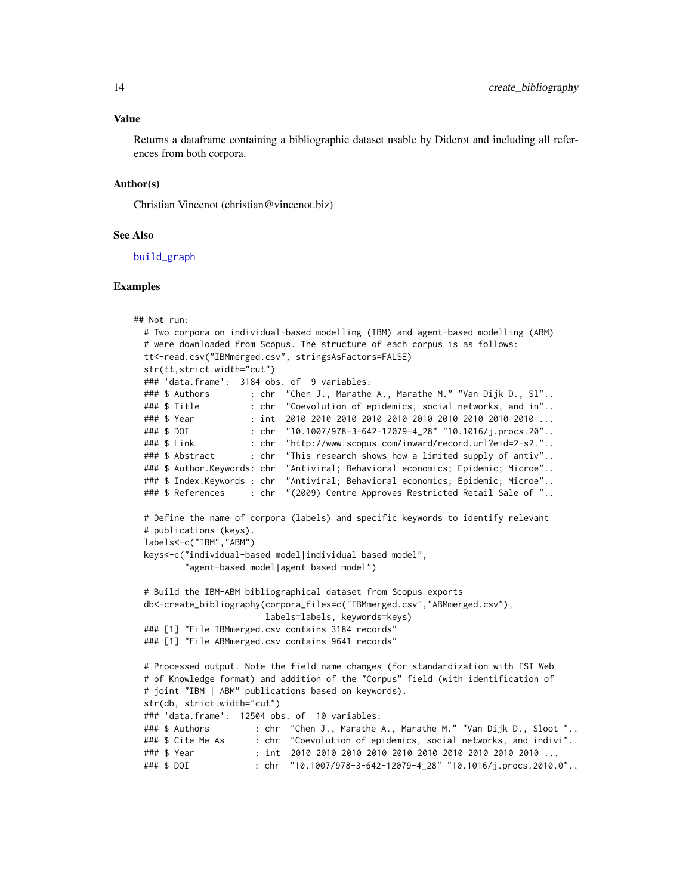<span id="page-13-0"></span>Returns a dataframe containing a bibliographic dataset usable by Diderot and including all references from both corpora.

#### Author(s)

Christian Vincenot (christian@vincenot.biz)

#### See Also

[build\\_graph](#page-4-1)

#### Examples

```
## Not run:
 # Two corpora on individual-based modelling (IBM) and agent-based modelling (ABM)
 # were downloaded from Scopus. The structure of each corpus is as follows:
 tt<-read.csv("IBMmerged.csv", stringsAsFactors=FALSE)
 str(tt,strict.width="cut")
 ### 'data.frame': 3184 obs. of 9 variables:
 ### $ Authors : chr "Chen J., Marathe A., Marathe M." "Van Dijk D., Sl"..
 ### $ Title : chr "Coevolution of epidemics, social networks, and in"..
 ### $ Year : int 2010 2010 2010 2010 2010 2010 2010 2010 2010 2010 ...
 ### $ DOI : chr "10.1007/978-3-642-12079-4_28" "10.1016/j.procs.20"..
 ### $ Link : chr "http://www.scopus.com/inward/record.url?eid=2-s2."..
 ### $ Abstract : chr "This research shows how a limited supply of antiv"..
 ### $ Author.Keywords: chr "Antiviral; Behavioral economics; Epidemic; Microe"..
 ### $ Index.Keywords : chr "Antiviral; Behavioral economics; Epidemic; Microe"..
 ### $ References : chr "(2009) Centre Approves Restricted Retail Sale of "..
 # Define the name of corpora (labels) and specific keywords to identify relevant
 # publications (keys).
 labels<-c("IBM","ABM")
 keys<-c("individual-based model|individual based model",
         "agent-based model|agent based model")
 # Build the IBM-ABM bibliographical dataset from Scopus exports
 db<-create_bibliography(corpora_files=c("IBMmerged.csv","ABMmerged.csv"),
                        labels=labels, keywords=keys)
 ### [1] "File IBMmerged.csv contains 3184 records"
 ### [1] "File ABMmerged.csv contains 9641 records"
 # Processed output. Note the field name changes (for standardization with ISI Web
 # of Knowledge format) and addition of the "Corpus" field (with identification of
 # joint "IBM | ABM" publications based on keywords).
 str(db, strict.width="cut")
 ### 'data.frame': 12504 obs. of 10 variables:
 ### $ Authors : chr "Chen J., Marathe A., Marathe M." "Van Dijk D., Sloot "..
 ### $ Cite Me As : chr "Coevolution of epidemics, social networks, and indivi"..
 ### $ Year : int 2010 2010 2010 2010 2010 2010 2010 2010 2010 2010 ...
 ### $ DOI : chr "10.1007/978-3-642-12079-4_28" "10.1016/j.procs.2010.0"..
```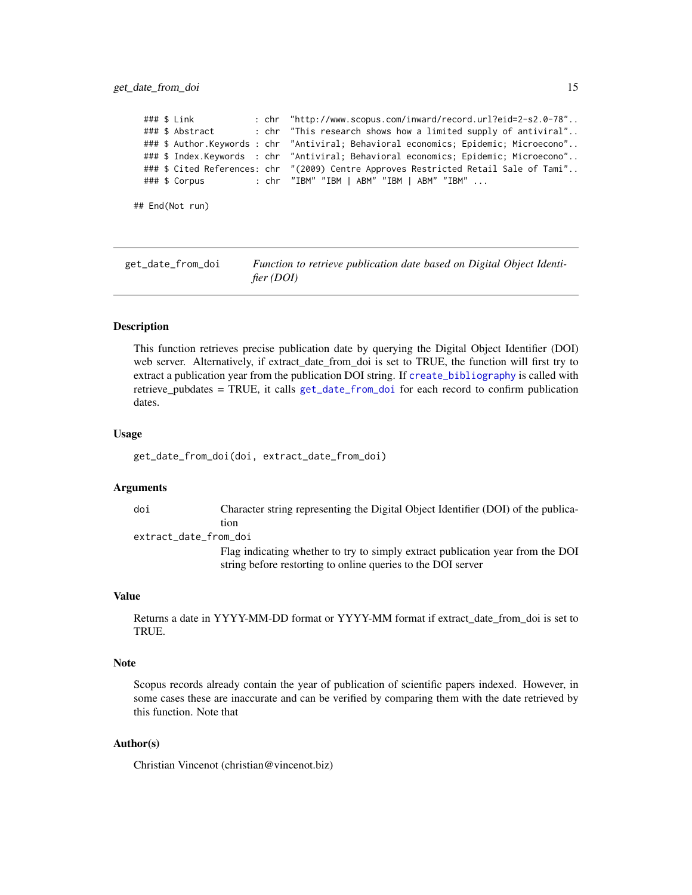#### <span id="page-14-0"></span>get\_date\_from\_doi 15

```
### $ Link : chr "http://www.scopus.com/inward/record.url?eid=2-s2.0-78"..
 ### $ Abstract : chr "This research shows how a limited supply of antiviral"..
 ### $ Author.Keywords : chr "Antiviral; Behavioral economics; Epidemic; Microecono"..
 ### $ Index.Keywords : chr "Antiviral; Behavioral economics; Epidemic; Microecono"..
 ### $ Cited References: chr "(2009) Centre Approves Restricted Retail Sale of Tami"..
 ### $ Corpus : chr "IBM" "IBM | ABM" "IBM | ABM" "IBM" ...
## End(Not run)
```
<span id="page-14-1"></span>get\_date\_from\_doi *Function to retrieve publication date based on Digital Object Identifier (DOI)*

#### Description

This function retrieves precise publication date by querying the Digital Object Identifier (DOI) web server. Alternatively, if extract\_date\_from\_doi is set to TRUE, the function will first try to extract a publication year from the publication DOI string. If [create\\_bibliography](#page-12-1) is called with retrieve\_pubdates = TRUE, it calls [get\\_date\\_from\\_doi](#page-14-1) for each record to confirm publication dates.

#### Usage

get\_date\_from\_doi(doi, extract\_date\_from\_doi)

#### Arguments

doi Character string representing the Digital Object Identifier (DOI) of the publication

extract\_date\_from\_doi

Flag indicating whether to try to simply extract publication year from the DOI string before restorting to online queries to the DOI server

#### Value

Returns a date in YYYY-MM-DD format or YYYY-MM format if extract\_date\_from\_doi is set to TRUE.

#### Note

Scopus records already contain the year of publication of scientific papers indexed. However, in some cases these are inaccurate and can be verified by comparing them with the date retrieved by this function. Note that

### Author(s)

Christian Vincenot (christian@vincenot.biz)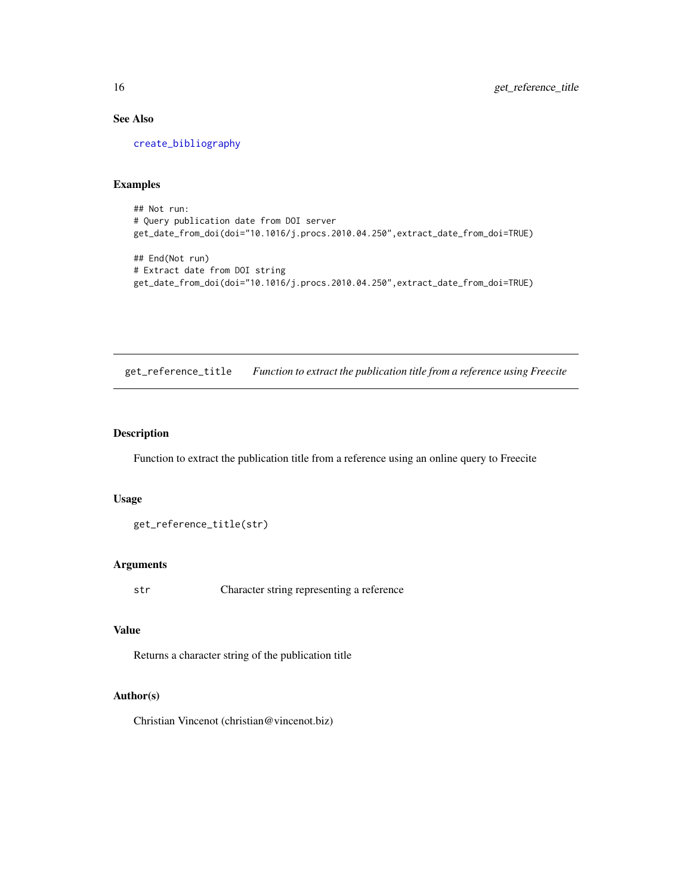# See Also

[create\\_bibliography](#page-12-1)

#### Examples

## Not run: # Query publication date from DOI server get\_date\_from\_doi(doi="10.1016/j.procs.2010.04.250",extract\_date\_from\_doi=TRUE)

```
## End(Not run)
# Extract date from DOI string
get_date_from_doi(doi="10.1016/j.procs.2010.04.250",extract_date_from_doi=TRUE)
```
get\_reference\_title *Function to extract the publication title from a reference using Freecite*

# Description

Function to extract the publication title from a reference using an online query to Freecite

#### Usage

```
get_reference_title(str)
```
### Arguments

str Character string representing a reference

# Value

Returns a character string of the publication title

# Author(s)

Christian Vincenot (christian@vincenot.biz)

<span id="page-15-0"></span>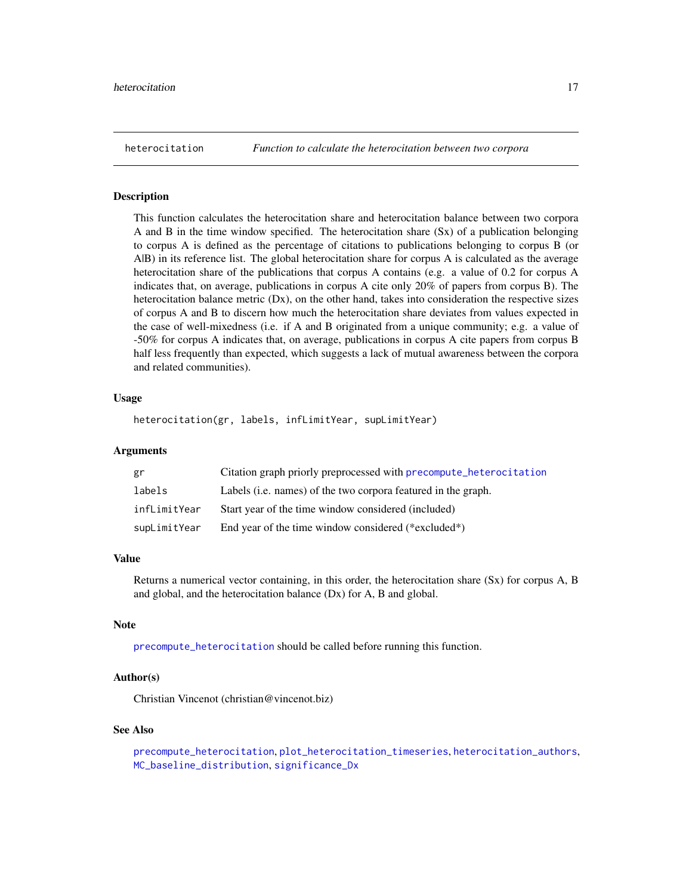<span id="page-16-1"></span><span id="page-16-0"></span>

#### Description

This function calculates the heterocitation share and heterocitation balance between two corpora A and B in the time window specified. The heterocitation share (Sx) of a publication belonging to corpus A is defined as the percentage of citations to publications belonging to corpus B (or A|B) in its reference list. The global heterocitation share for corpus A is calculated as the average heterocitation share of the publications that corpus A contains (e.g. a value of 0.2 for corpus A indicates that, on average, publications in corpus A cite only 20% of papers from corpus B). The heterocitation balance metric (Dx), on the other hand, takes into consideration the respective sizes of corpus A and B to discern how much the heterocitation share deviates from values expected in the case of well-mixedness (i.e. if A and B originated from a unique community; e.g. a value of -50% for corpus A indicates that, on average, publications in corpus A cite papers from corpus B half less frequently than expected, which suggests a lack of mutual awareness between the corpora and related communities).

#### Usage

heterocitation(gr, labels, infLimitYear, supLimitYear)

#### Arguments

| gr           | Citation graph priorly preprocessed with precompute_heterocitation |
|--------------|--------------------------------------------------------------------|
| labels       | Labels (i.e. names) of the two corpora featured in the graph.      |
| infLimitYear | Start year of the time window considered (included)                |
| supLimitYear | End year of the time window considered (*excluded*)                |

# Value

Returns a numerical vector containing, in this order, the heterocitation share (Sx) for corpus A, B and global, and the heterocitation balance (Dx) for A, B and global.

#### Note

[precompute\\_heterocitation](#page-26-1) should be called before running this function.

# Author(s)

Christian Vincenot (christian@vincenot.biz)

#### See Also

```
precompute_heterocitation, plot_heterocitation_timeseries, heterocitation_authors,
MC_baseline_distribution, significance_Dx
```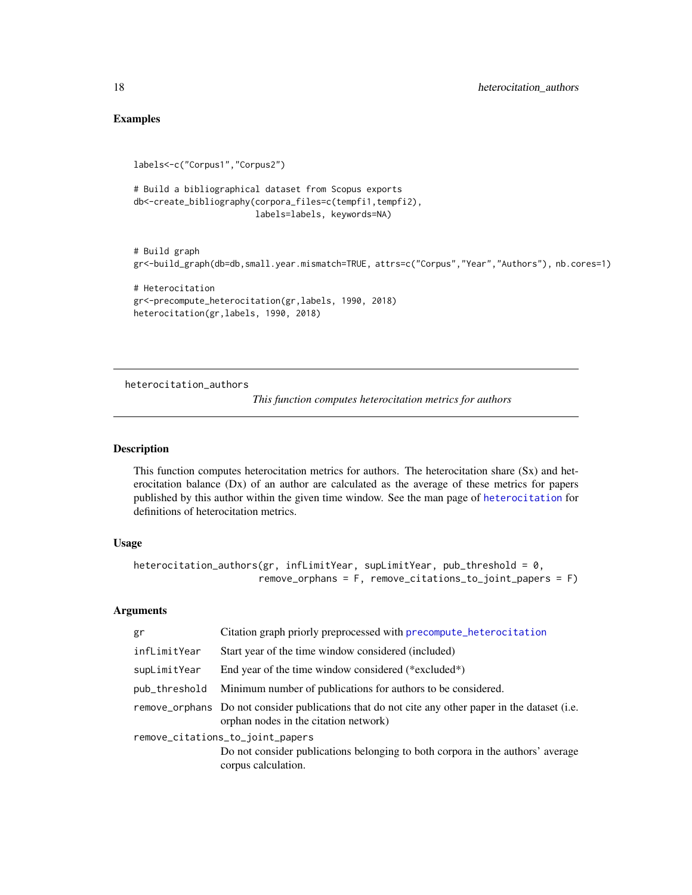# Examples

```
labels<-c("Corpus1","Corpus2")
# Build a bibliographical dataset from Scopus exports
db<-create_bibliography(corpora_files=c(tempfi1,tempfi2),
                        labels=labels, keywords=NA)
# Build graph
gr<-build_graph(db=db,small.year.mismatch=TRUE, attrs=c("Corpus","Year","Authors"), nb.cores=1)
# Heterocitation
gr<-precompute_heterocitation(gr,labels, 1990, 2018)
heterocitation(gr,labels, 1990, 2018)
```
<span id="page-17-1"></span>heterocitation\_authors

*This function computes heterocitation metrics for authors*

#### Description

This function computes heterocitation metrics for authors. The heterocitation share (Sx) and heterocitation balance (Dx) of an author are calculated as the average of these metrics for papers published by this author within the given time window. See the man page of [heterocitation](#page-16-1) for definitions of heterocitation metrics.

#### Usage

```
heterocitation_authors(gr, infLimitYear, supLimitYear, pub_threshold = 0,
                      remove_orphans = F, remove_citations_to_joint_papers = F)
```

| gr            | Citation graph priorly preprocessed with precompute_heterocitation                                                                         |
|---------------|--------------------------------------------------------------------------------------------------------------------------------------------|
| infLimitYear  | Start year of the time window considered (included)                                                                                        |
| supLimitYear  | End year of the time window considered (*excluded*)                                                                                        |
| pub_threshold | Minimum number of publications for authors to be considered.                                                                               |
|               | remove_orphans Do not consider publications that do not cite any other paper in the dataset (i.e.<br>orphan nodes in the citation network) |
|               | remove_citations_to_joint_papers                                                                                                           |
|               | Do not consider publications belonging to both corpora in the authors' average<br>corpus calculation.                                      |

<span id="page-17-0"></span>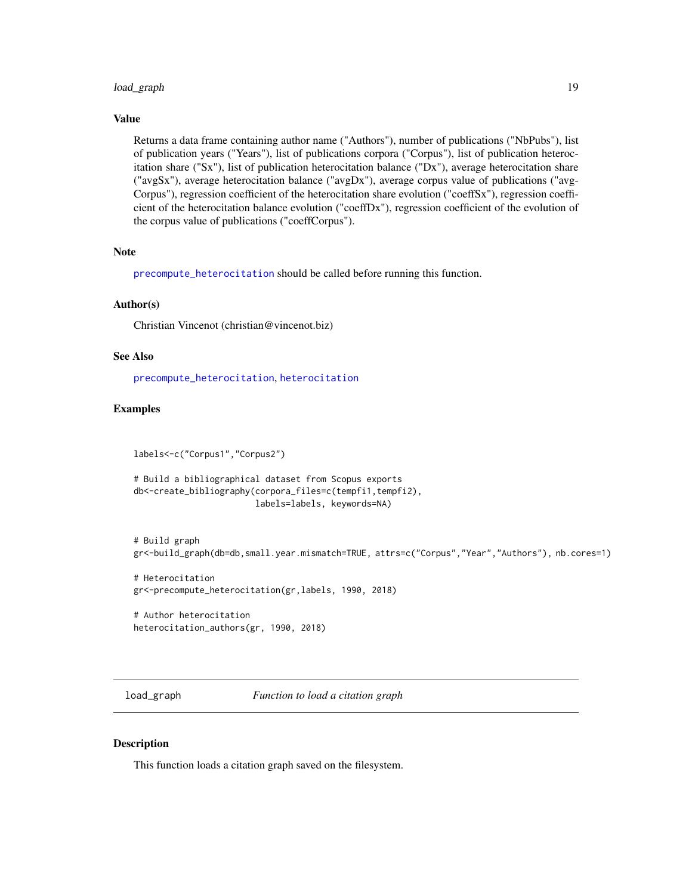# <span id="page-18-0"></span>load\_graph 19

#### Value

Returns a data frame containing author name ("Authors"), number of publications ("NbPubs"), list of publication years ("Years"), list of publications corpora ("Corpus"), list of publication heterocitation share ("Sx"), list of publication heterocitation balance ("Dx"), average heterocitation share ("avgSx"), average heterocitation balance ("avgDx"), average corpus value of publications ("avg-Corpus"), regression coefficient of the heterocitation share evolution ("coeffSx"), regression coefficient of the heterocitation balance evolution ("coeffDx"), regression coefficient of the evolution of the corpus value of publications ("coeffCorpus").

#### Note

[precompute\\_heterocitation](#page-26-1) should be called before running this function.

#### Author(s)

Christian Vincenot (christian@vincenot.biz)

#### See Also

[precompute\\_heterocitation](#page-26-1), [heterocitation](#page-16-1)

# Examples

labels<-c("Corpus1","Corpus2")

```
# Build a bibliographical dataset from Scopus exports
db<-create_bibliography(corpora_files=c(tempfi1,tempfi2),
                        labels=labels, keywords=NA)
```
# Build graph gr<-build\_graph(db=db,small.year.mismatch=TRUE, attrs=c("Corpus","Year","Authors"), nb.cores=1)

# Heterocitation gr<-precompute\_heterocitation(gr,labels, 1990, 2018)

# Author heterocitation heterocitation\_authors(gr, 1990, 2018)

<span id="page-18-1"></span>load\_graph *Function to load a citation graph*

### **Description**

This function loads a citation graph saved on the filesystem.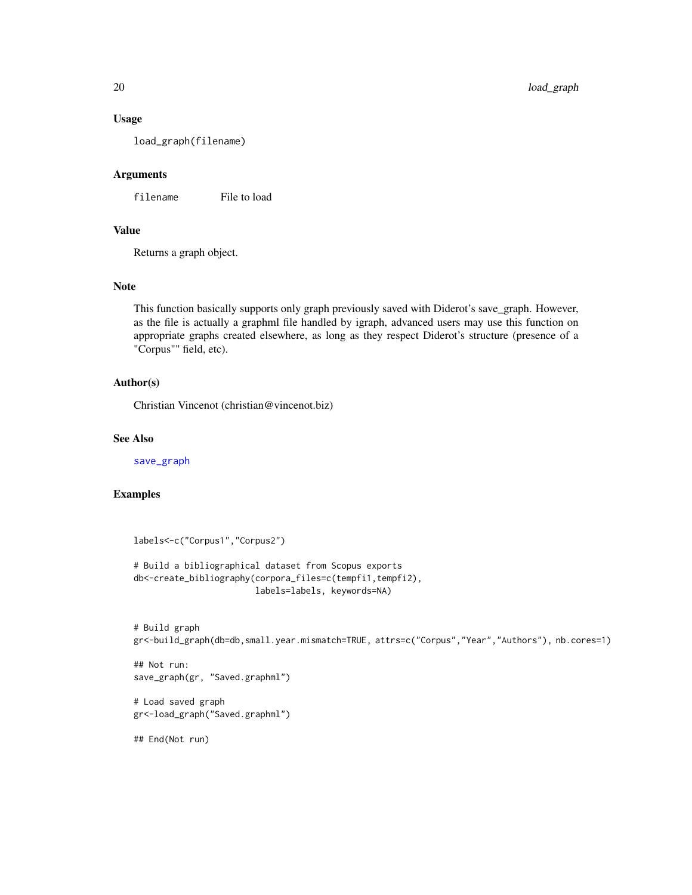#### Usage

load\_graph(filename)

# Arguments

filename File to load

# Value

Returns a graph object.

# Note

This function basically supports only graph previously saved with Diderot's save\_graph. However, as the file is actually a graphml file handled by igraph, advanced users may use this function on appropriate graphs created elsewhere, as long as they respect Diderot's structure (presence of a "Corpus"" field, etc).

#### Author(s)

Christian Vincenot (christian@vincenot.biz)

#### See Also

[save\\_graph](#page-27-1)

#### Examples

```
labels<-c("Corpus1","Corpus2")
# Build a bibliographical dataset from Scopus exports
db<-create_bibliography(corpora_files=c(tempfi1,tempfi2),
                        labels=labels, keywords=NA)
```

```
# Build graph
gr<-build_graph(db=db,small.year.mismatch=TRUE, attrs=c("Corpus","Year","Authors"), nb.cores=1)
```

```
## Not run:
save_graph(gr, "Saved.graphml")
```

```
# Load saved graph
gr<-load_graph("Saved.graphml")
```
## End(Not run)

<span id="page-19-0"></span>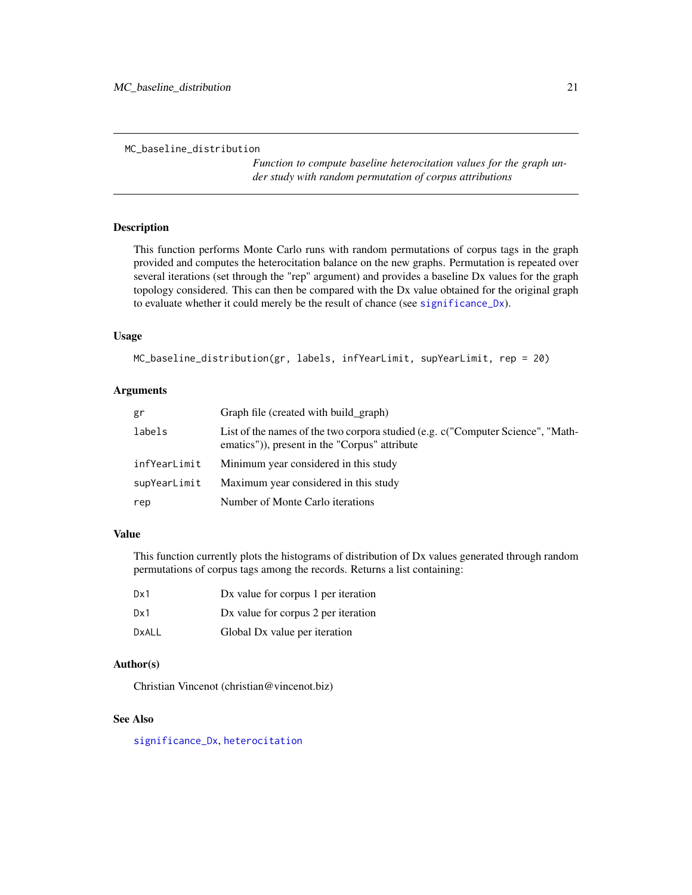```
MC_baseline_distribution
```
*Function to compute baseline heterocitation values for the graph under study with random permutation of corpus attributions*

# Description

This function performs Monte Carlo runs with random permutations of corpus tags in the graph provided and computes the heterocitation balance on the new graphs. Permutation is repeated over several iterations (set through the "rep" argument) and provides a baseline Dx values for the graph topology considered. This can then be compared with the Dx value obtained for the original graph to evaluate whether it could merely be the result of chance (see [significance\\_Dx](#page-28-1)).

#### Usage

```
MC_baseline_distribution(gr, labels, infYearLimit, supYearLimit, rep = 20)
```
# Arguments

| gr           | Graph file (created with build_graph)                                                                                            |
|--------------|----------------------------------------------------------------------------------------------------------------------------------|
| labels       | List of the names of the two corpora studied (e.g. c("Computer Science", "Math-<br>ematics")), present in the "Corpus" attribute |
| infYearLimit | Minimum year considered in this study                                                                                            |
| supYearLimit | Maximum year considered in this study                                                                                            |
| rep          | Number of Monte Carlo iterations                                                                                                 |

# Value

This function currently plots the histograms of distribution of Dx values generated through random permutations of corpus tags among the records. Returns a list containing:

| Dx1   | Dx value for corpus 1 per iteration |
|-------|-------------------------------------|
| Dx1   | Dx value for corpus 2 per iteration |
| DxALL | Global Dx value per iteration       |

# Author(s)

Christian Vincenot (christian@vincenot.biz)

#### See Also

[significance\\_Dx](#page-28-1), [heterocitation](#page-16-1)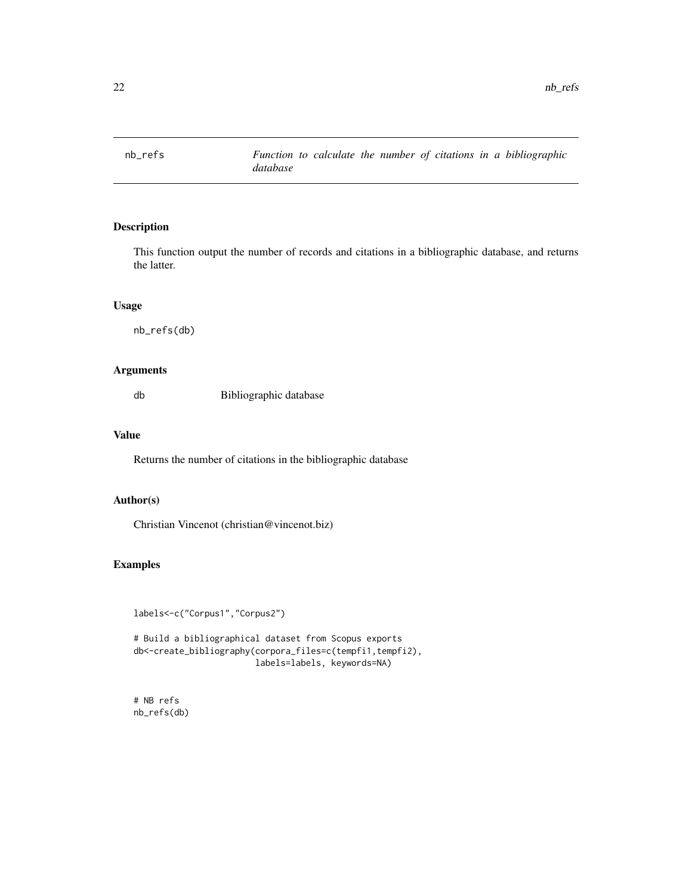<span id="page-21-0"></span>

# Description

This function output the number of records and citations in a bibliographic database, and returns the latter.

### Usage

nb\_refs(db)

# Arguments

db Bibliographic database

# Value

Returns the number of citations in the bibliographic database

# Author(s)

Christian Vincenot (christian@vincenot.biz)

# Examples

```
labels<-c("Corpus1","Corpus2")
```
# Build a bibliographical dataset from Scopus exports db<-create\_bibliography(corpora\_files=c(tempfi1,tempfi2), labels=labels, keywords=NA)

# NB refs nb\_refs(db)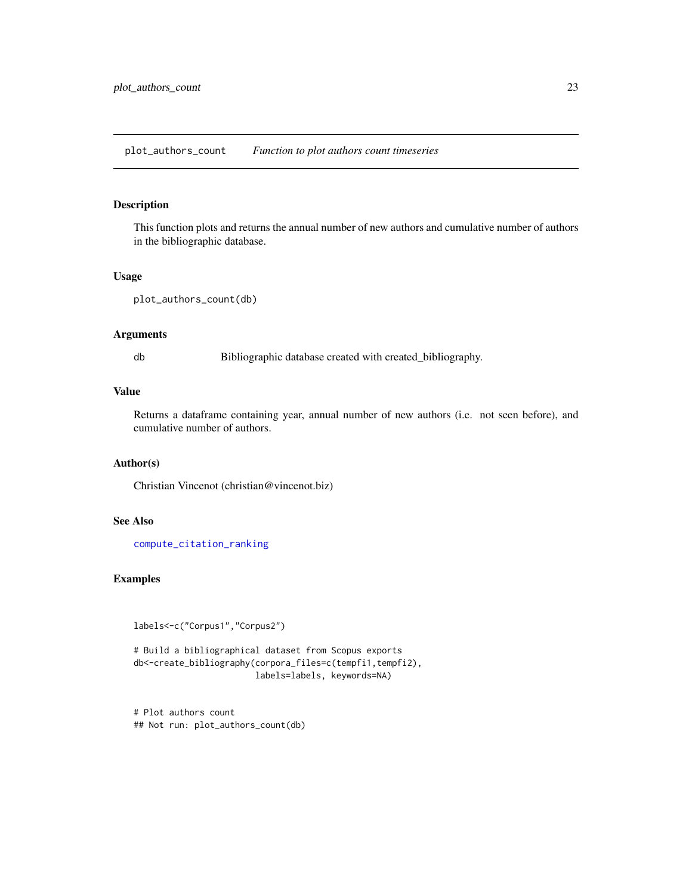# <span id="page-22-0"></span>Description

This function plots and returns the annual number of new authors and cumulative number of authors in the bibliographic database.

# Usage

```
plot_authors_count(db)
```
#### Arguments

db Bibliographic database created with created\_bibliography.

# Value

Returns a dataframe containing year, annual number of new authors (i.e. not seen before), and cumulative number of authors.

# Author(s)

Christian Vincenot (christian@vincenot.biz)

# See Also

[compute\\_citation\\_ranking](#page-7-1)

# Examples

labels<-c("Corpus1","Corpus2")

```
# Build a bibliographical dataset from Scopus exports
db<-create_bibliography(corpora_files=c(tempfi1,tempfi2),
                        labels=labels, keywords=NA)
```
# Plot authors count ## Not run: plot\_authors\_count(db)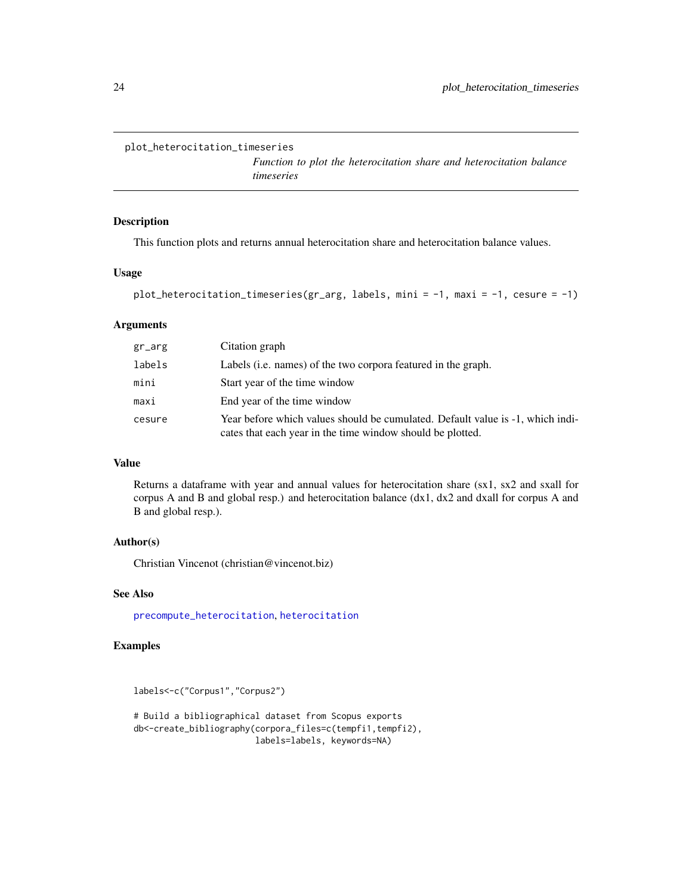```
plot_heterocitation_timeseries
```
*Function to plot the heterocitation share and heterocitation balance timeseries*

#### Description

This function plots and returns annual heterocitation share and heterocitation balance values.

# Usage

```
plot_heterocitation_timeseries(gr_arg, labels, mini = -1, maxi = -1, cesure = -1)
```
#### Arguments

| $gr_arg$ | Citation graph                                                                                                                               |
|----------|----------------------------------------------------------------------------------------------------------------------------------------------|
| labels   | Labels (i.e. names) of the two corpora featured in the graph.                                                                                |
| mini     | Start year of the time window                                                                                                                |
| maxi     | End year of the time window                                                                                                                  |
| cesure   | Year before which values should be cumulated. Default value is -1, which indi-<br>cates that each year in the time window should be plotted. |

# Value

Returns a dataframe with year and annual values for heterocitation share (sx1, sx2 and sxall for corpus A and B and global resp.) and heterocitation balance  $(dx1, dx2$  and dxall for corpus A and B and global resp.).

#### Author(s)

Christian Vincenot (christian@vincenot.biz)

# See Also

[precompute\\_heterocitation](#page-26-1), [heterocitation](#page-16-1)

# Examples

labels<-c("Corpus1","Corpus2")

# Build a bibliographical dataset from Scopus exports db<-create\_bibliography(corpora\_files=c(tempfi1,tempfi2), labels=labels, keywords=NA)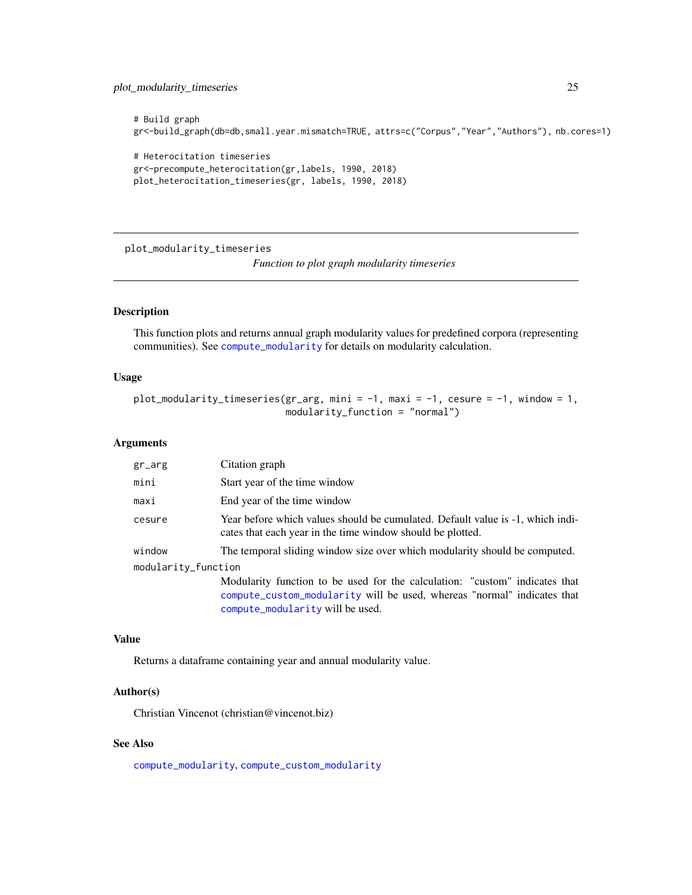# <span id="page-24-0"></span>plot\_modularity\_timeseries 25

```
# Build graph
gr<-build_graph(db=db,small.year.mismatch=TRUE, attrs=c("Corpus","Year","Authors"), nb.cores=1)
# Heterocitation timeseries
gr<-precompute_heterocitation(gr,labels, 1990, 2018)
plot_heterocitation_timeseries(gr, labels, 1990, 2018)
```
<span id="page-24-1"></span>plot\_modularity\_timeseries

*Function to plot graph modularity timeseries*

# Description

This function plots and returns annual graph modularity values for predefined corpora (representing communities). See [compute\\_modularity](#page-11-1) for details on modularity calculation.

# Usage

```
plot_modularity_timeseries(gr_arg, mini = -1, maxi = -1, cesure = -1, window = 1,
                           modularity_function = "normal")
```
#### Arguments

| $gr_$               | Citation graph                                                                                                                                                                             |
|---------------------|--------------------------------------------------------------------------------------------------------------------------------------------------------------------------------------------|
| mini                | Start year of the time window                                                                                                                                                              |
| maxi                | End year of the time window                                                                                                                                                                |
| cesure              | Year before which values should be cumulated. Default value is -1, which indi-<br>cates that each year in the time window should be plotted.                                               |
| window              | The temporal sliding window size over which modularity should be computed.                                                                                                                 |
| modularity_function |                                                                                                                                                                                            |
|                     | Modularity function to be used for the calculation: "custom" indicates that<br>compute_custom_modularity will be used, whereas "normal" indicates that<br>compute_modularity will be used. |

#### Value

Returns a dataframe containing year and annual modularity value.

#### Author(s)

Christian Vincenot (christian@vincenot.biz)

# See Also

[compute\\_modularity](#page-11-1), [compute\\_custom\\_modularity](#page-8-1)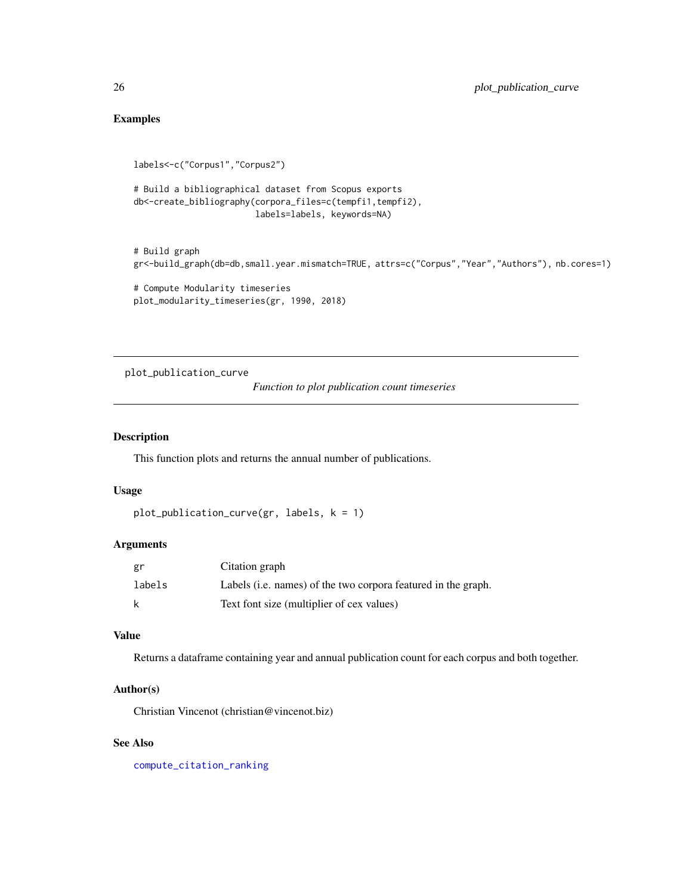# <span id="page-25-0"></span>Examples

```
labels<-c("Corpus1","Corpus2")
# Build a bibliographical dataset from Scopus exports
db<-create_bibliography(corpora_files=c(tempfi1,tempfi2),
                        labels=labels, keywords=NA)
# Build graph
gr<-build_graph(db=db,small.year.mismatch=TRUE, attrs=c("Corpus","Year","Authors"), nb.cores=1)
# Compute Modularity timeseries
```

```
plot_modularity_timeseries(gr, 1990, 2018)
```
plot\_publication\_curve

*Function to plot publication count timeseries*

# Description

This function plots and returns the annual number of publications.

#### Usage

```
plot_publication_curve(gr, labels, k = 1)
```
#### Arguments

| gr     | Citation graph                                                |
|--------|---------------------------------------------------------------|
| labels | Labels (i.e. names) of the two corpora featured in the graph. |
| k      | Text font size (multiplier of cex values)                     |

#### Value

Returns a dataframe containing year and annual publication count for each corpus and both together.

# Author(s)

Christian Vincenot (christian@vincenot.biz)

#### See Also

[compute\\_citation\\_ranking](#page-7-1)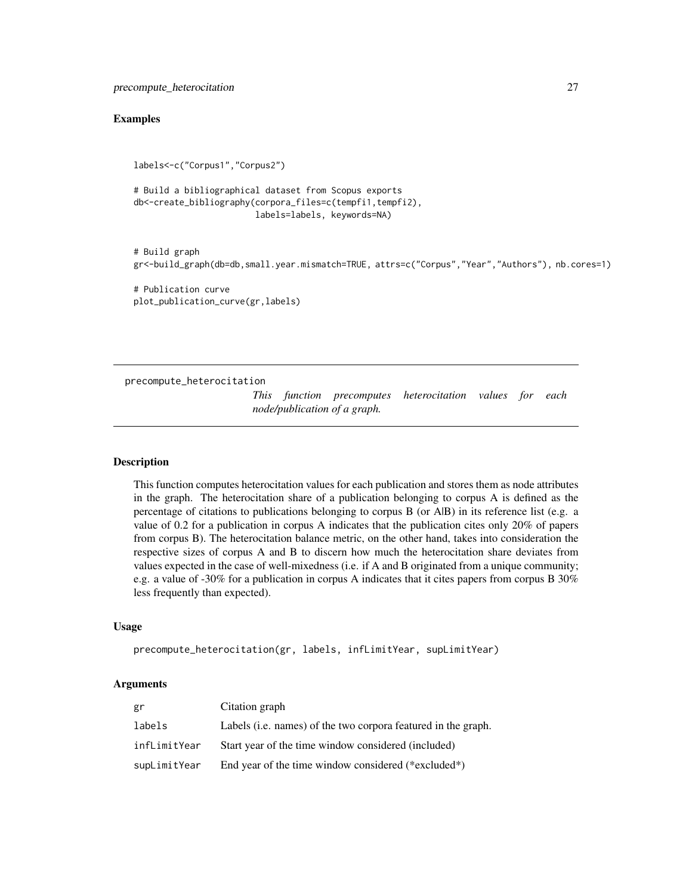#### <span id="page-26-0"></span>Examples

```
labels<-c("Corpus1","Corpus2")
```

```
# Build a bibliographical dataset from Scopus exports
db<-create_bibliography(corpora_files=c(tempfi1,tempfi2),
                        labels=labels, keywords=NA)
```

```
# Build graph
gr<-build_graph(db=db,small.year.mismatch=TRUE, attrs=c("Corpus","Year","Authors"), nb.cores=1)
```

```
# Publication curve
plot_publication_curve(gr,labels)
```
<span id="page-26-1"></span>precompute\_heterocitation

```
This function precomputes heterocitation values for each
node/publication of a graph.
```
#### **Description**

This function computes heterocitation values for each publication and stores them as node attributes in the graph. The heterocitation share of a publication belonging to corpus A is defined as the percentage of citations to publications belonging to corpus B (or A|B) in its reference list (e.g. a value of 0.2 for a publication in corpus A indicates that the publication cites only 20% of papers from corpus B). The heterocitation balance metric, on the other hand, takes into consideration the respective sizes of corpus A and B to discern how much the heterocitation share deviates from values expected in the case of well-mixedness (i.e. if A and B originated from a unique community; e.g. a value of -30% for a publication in corpus A indicates that it cites papers from corpus B 30% less frequently than expected).

# Usage

```
precompute_heterocitation(gr, labels, infLimitYear, supLimitYear)
```

| gr           | Citation graph                                                        |
|--------------|-----------------------------------------------------------------------|
| labels       | Labels ( <i>i.e.</i> names) of the two corpora featured in the graph. |
| infLimitYear | Start year of the time window considered (included)                   |
| supLimitYear | End year of the time window considered (*excluded*)                   |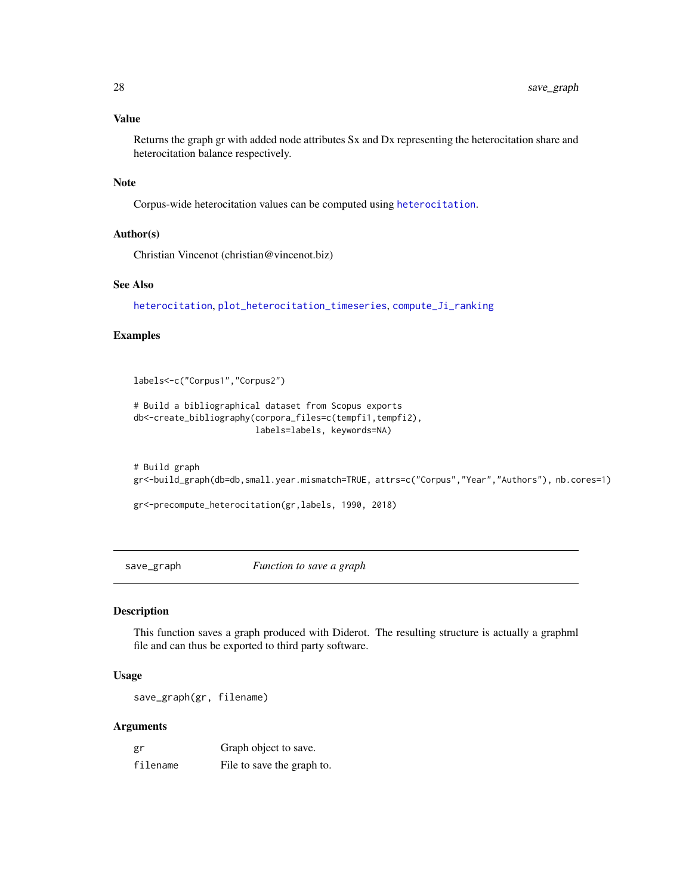## Value

Returns the graph gr with added node attributes Sx and Dx representing the heterocitation share and heterocitation balance respectively.

#### Note

Corpus-wide heterocitation values can be computed using [heterocitation](#page-16-1).

#### Author(s)

Christian Vincenot (christian@vincenot.biz)

#### See Also

[heterocitation](#page-16-1), [plot\\_heterocitation\\_timeseries](#page-23-1), [compute\\_Ji\\_ranking](#page-10-1)

# Examples

labels<-c("Corpus1","Corpus2")

```
# Build a bibliographical dataset from Scopus exports
db<-create_bibliography(corpora_files=c(tempfi1,tempfi2),
                        labels=labels, keywords=NA)
```

```
# Build graph
gr<-build_graph(db=db,small.year.mismatch=TRUE, attrs=c("Corpus","Year","Authors"), nb.cores=1)
```
gr<-precompute\_heterocitation(gr,labels, 1990, 2018)

<span id="page-27-1"></span>save\_graph *Function to save a graph*

#### Description

This function saves a graph produced with Diderot. The resulting structure is actually a graphml file and can thus be exported to third party software.

### Usage

save\_graph(gr, filename)

| gr       | Graph object to save.      |
|----------|----------------------------|
| filename | File to save the graph to. |

<span id="page-27-0"></span>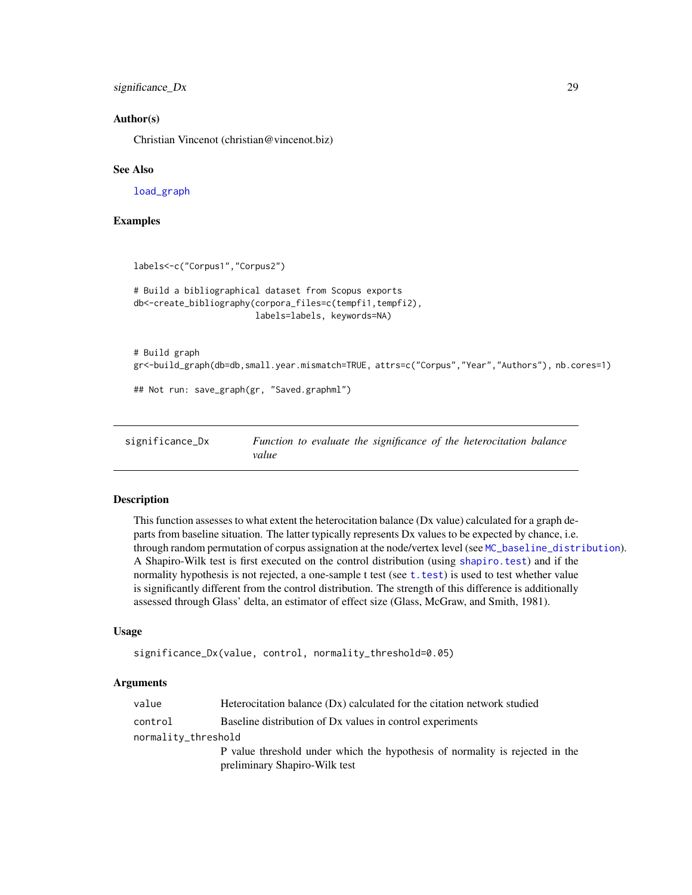<span id="page-28-0"></span>significance\_Dx 29

#### Author(s)

Christian Vincenot (christian@vincenot.biz)

#### See Also

[load\\_graph](#page-18-1)

### Examples

```
labels<-c("Corpus1","Corpus2")
# Build a bibliographical dataset from Scopus exports
db<-create_bibliography(corpora_files=c(tempfi1,tempfi2),
                        labels=labels, keywords=NA)
# Build graph
gr<-build_graph(db=db,small.year.mismatch=TRUE, attrs=c("Corpus","Year","Authors"), nb.cores=1)
## Not run: save_graph(gr, "Saved.graphml")
```
<span id="page-28-1"></span>significance\_Dx *Function to evaluate the significance of the heterocitation balance value*

#### Description

This function assesses to what extent the heterocitation balance (Dx value) calculated for a graph departs from baseline situation. The latter typically represents Dx values to be expected by chance, i.e. through random permutation of corpus assignation at the node/vertex level (see [MC\\_baseline\\_distribution](#page-20-1)). A Shapiro-Wilk test is first executed on the control distribution (using [shapiro.test](#page-0-0)) and if the normality hypothesis is not rejected, a one-sample t test (see [t.test](#page-0-0)) is used to test whether value is significantly different from the control distribution. The strength of this difference is additionally assessed through Glass' delta, an estimator of effect size (Glass, McGraw, and Smith, 1981).

#### Usage

```
significance_Dx(value, control, normality_threshold=0.05)
```

| value               | Heterocitation balance (Dx) calculated for the citation network studied      |  |
|---------------------|------------------------------------------------------------------------------|--|
| control             | Baseline distribution of Dx values in control experiments                    |  |
| normality_threshold |                                                                              |  |
|                     | P value threshold under which the hypothesis of normality is rejected in the |  |
|                     | preliminary Shapiro-Wilk test                                                |  |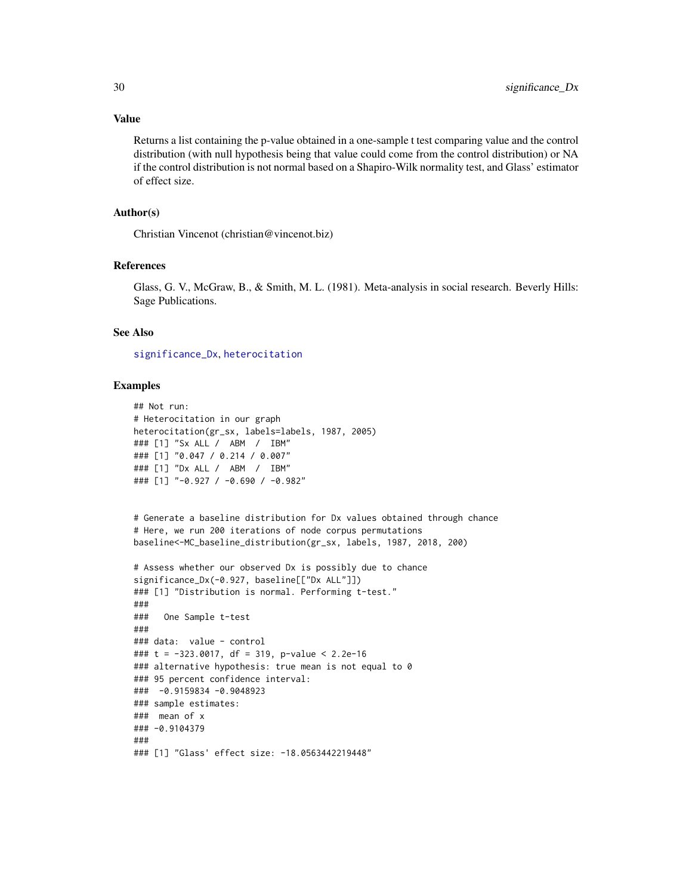#### <span id="page-29-0"></span>Value

Returns a list containing the p-value obtained in a one-sample t test comparing value and the control distribution (with null hypothesis being that value could come from the control distribution) or NA if the control distribution is not normal based on a Shapiro-Wilk normality test, and Glass' estimator of effect size.

#### Author(s)

Christian Vincenot (christian@vincenot.biz)

#### References

Glass, G. V., McGraw, B., & Smith, M. L. (1981). Meta-analysis in social research. Beverly Hills: Sage Publications.

#### See Also

[significance\\_Dx](#page-28-1), [heterocitation](#page-16-1)

# Examples

```
## Not run:
# Heterocitation in our graph
heterocitation(gr_sx, labels=labels, 1987, 2005)
### [1] "Sx ALL / ABM / IBM"
### [1] "0.047 / 0.214 / 0.007"
### [1] "Dx ALL / ABM / IBM"
### [1] "-0.927 / -0.690 / -0.982"
```

```
# Generate a baseline distribution for Dx values obtained through chance
# Here, we run 200 iterations of node corpus permutations
baseline<-MC_baseline_distribution(gr_sx, labels, 1987, 2018, 200)
```

```
# Assess whether our observed Dx is possibly due to chance
significance_Dx(-0.927, baseline[["Dx ALL"]])
### [1] "Distribution is normal. Performing t-test."
###
### One Sample t-test
###
### data: value - control
### t = -323.0017, df = 319, p-value < 2.2e-16
### alternative hypothesis: true mean is not equal to 0
### 95 percent confidence interval:
### -0.9159834 -0.9048923
### sample estimates:
### mean of x
### -0.9104379
###
### [1] "Glass' effect size: -18.0563442219448"
```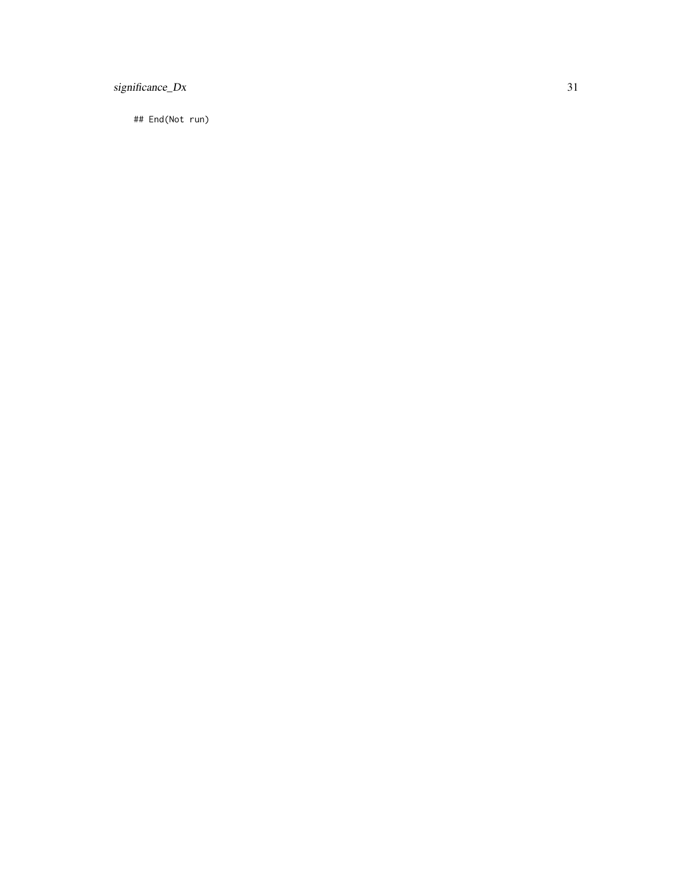# significance\_Dx 31

## End(Not run)